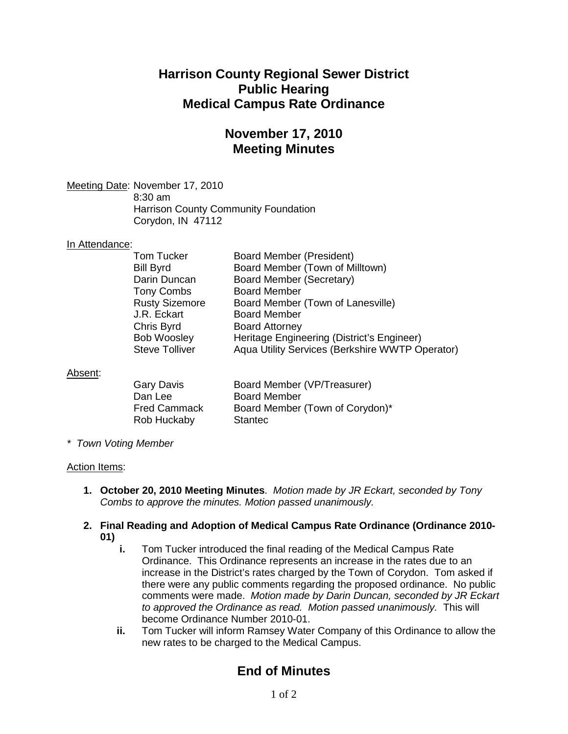## **Harrison County Regional Sewer District Public Hearing Medical Campus Rate Ordinance**

## **November 17, 2010 Meeting Minutes**

<u>Meeting Date</u>: November 17, 2010 8:30 am Harrison County Community Foundation Corydon, IN 47112

### In Attendance:

| <b>Board Member (President)</b>                 |
|-------------------------------------------------|
| Board Member (Town of Milltown)                 |
| Board Member (Secretary)                        |
| <b>Board Member</b>                             |
| Board Member (Town of Lanesville)               |
| <b>Board Member</b>                             |
| <b>Board Attorney</b>                           |
| Heritage Engineering (District's Engineer)      |
| Aqua Utility Services (Berkshire WWTP Operator) |
|                                                 |

### Absent :

| Gary Davis          | Board Member (VP/Treasurer)     |
|---------------------|---------------------------------|
| Dan Lee             | <b>Board Member</b>             |
| <b>Fred Cammack</b> | Board Member (Town of Corydon)* |
| Rob Huckaby         | <b>Stantec</b>                  |

*\* Town Voting Member*

#### Action Items:

- **1. October 20, 2010 Meeting Minutes**. *Motion made by JR Eckart, seconded by Tony Combs to approve the minutes. Motion passed unanimously.*
- **2. Final Reading and Adoption of Medical Campus Rate Ordinance (Ordinance 2010- 01)**
	- **i.** Tom Tucker introduced the final reading of the Medical Campus Rate Ordinance. This Ordinance represents an increase in the rates due to an increase in the District's rates charged by the Town of Corydon. Tom asked if there were any public comments regarding the proposed ordinance. No public comments were made. *Motion made by Darin Duncan, seconded by JR Eckart to approved the Ordinance as read. Motion passed unanimously.* This will become Ordinance Number 2010-01.
	- **ii.** Tom Tucker will inform Ramsey Water Company of this Ordinance to allow the new rates to be charged to the Medical Campus.

# **End of Minutes**